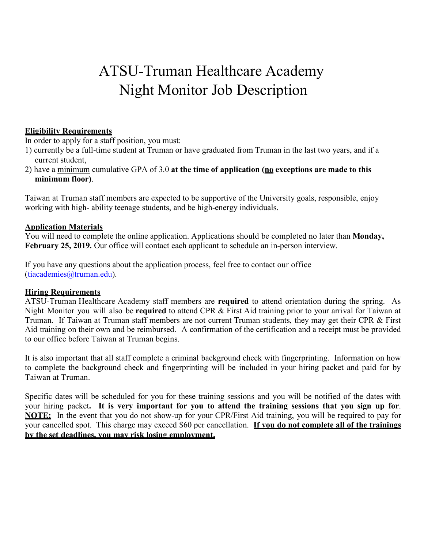# ATSU-Truman Healthcare Academy Night Monitor Job Description

#### **Eligibility Requirements**

In order to apply for a staff position, you must:

- 1) currently be a full-time student at Truman or have graduated from Truman in the last two years, and if a current student,
- 2) have a minimum cumulative GPA of 3.0 **at the time of application (no exceptions are made to this minimum floor)**.

Taiwan at Truman staff members are expected to be supportive of the University goals, responsible, enjoy working with high- ability teenage students, and be high-energy individuals.

#### **Application Materials**

You will need to complete the online application. Applications should be completed no later than **Monday, February 25, 2019.** Our office will contact each applicant to schedule an in-person interview.

If you have any questions about the application process, feel free to contact our office (tiacademies@truman.edu).

#### **Hiring Requirements**

ATSU-Truman Healthcare Academy staff members are **required** to attend orientation during the spring. As Night Monitor you will also be **required** to attend CPR & First Aid training prior to your arrival for Taiwan at Truman. If Taiwan at Truman staff members are not current Truman students, they may get their CPR & First Aid training on their own and be reimbursed. A confirmation of the certification and a receipt must be provided to our office before Taiwan at Truman begins.

It is also important that all staff complete a criminal background check with fingerprinting. Information on how to complete the background check and fingerprinting will be included in your hiring packet and paid for by Taiwan at Truman.

Specific dates will be scheduled for you for these training sessions and you will be notified of the dates with your hiring packet**. It is very important for you to attend the training sessions that you sign up for**. **NOTE:** In the event that you do not show-up for your CPR/First Aid training, you will be required to pay for your cancelled spot. This charge may exceed \$60 per cancellation. **If you do not complete all of the trainings by the set deadlines, you may risk losing employment.**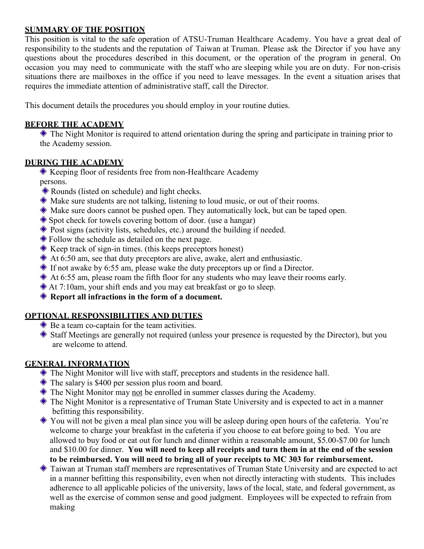#### **SUMMARY OF THE POSITION**

This position is vital to the safe operation of ATSU-Truman Healthcare Academy. You have a great deal of responsibility to the students and the reputation of Taiwan at Truman. Please ask the Director if you have any questions about the procedures described in this document, or the operation of the program in general. On occasion you may need to communicate with the staff who are sleeping while you are on duty. For non-crisis situations there are mailboxes in the office if you need to leave messages. In the event a situation arises that requires the immediate attention of administrative staff, call the Director.

This document details the procedures you should employ in your routine duties.

#### **BEFORE THE ACADEMY**

 The Night Monitor is required to attend orientation during the spring and participate in training prior to the Academy session.

## **DURING THE ACADEMY**

Keeping floor of residents free from non-Healthcare Academy

- persons.
- Rounds (listed on schedule) and light checks.
- Make sure students are not talking, listening to loud music, or out of their rooms.
- Make sure doors cannot be pushed open. They automatically lock, but can be taped open.
- Spot check for towels covering bottom of door. (use a hangar)
- Post signs (activity lists, schedules, etc.) around the building if needed.
- Follow the schedule as detailed on the next page.
- Keep track of sign-in times. (this keeps preceptors honest)
- At 6:50 am, see that duty preceptors are alive, awake, alert and enthusiastic.
- If not awake by 6:55 am, please wake the duty preceptors up or find a Director.
- At 6:55 am, please roam the fifth floor for any students who may leave their rooms early.
- At 7:10am, your shift ends and you may eat breakfast or go to sleep.
- **Report all infractions in the form of a document.**

## **OPTIONAL RESPONSIBILITIES AND DUTIES**

- **◆ Be a team co-captain for the team activities.**
- Staff Meetings are generally not required (unless your presence is requested by the Director), but you are welcome to attend.

# **GENERAL INFORMATION**

- The Night Monitor will live with staff, preceptors and students in the residence hall.
- The salary is \$400 per session plus room and board.
- The Night Monitor may not be enrolled in summer classes during the Academy.
- The Night Monitor is a representative of Truman State University and is expected to act in a manner befitting this responsibility.
- You will not be given a meal plan since you will be asleep during open hours of the cafeteria. You're welcome to charge your breakfast in the cafeteria if you choose to eat before going to bed. You are allowed to buy food or eat out for lunch and dinner within a reasonable amount, \$5.00-\$7.00 for lunch and \$10.00 for dinner. **You will need to keep all receipts and turn them in at the end of the session to be reimbursed. You will need to bring all of your receipts to MC 303 for reimbursement.**
- Taiwan at Truman staff members are representatives of Truman State University and are expected to act in a manner befitting this responsibility, even when not directly interacting with students. This includes adherence to all applicable policies of the university, laws of the local, state, and federal government, as well as the exercise of common sense and good judgment. Employees will be expected to refrain from making